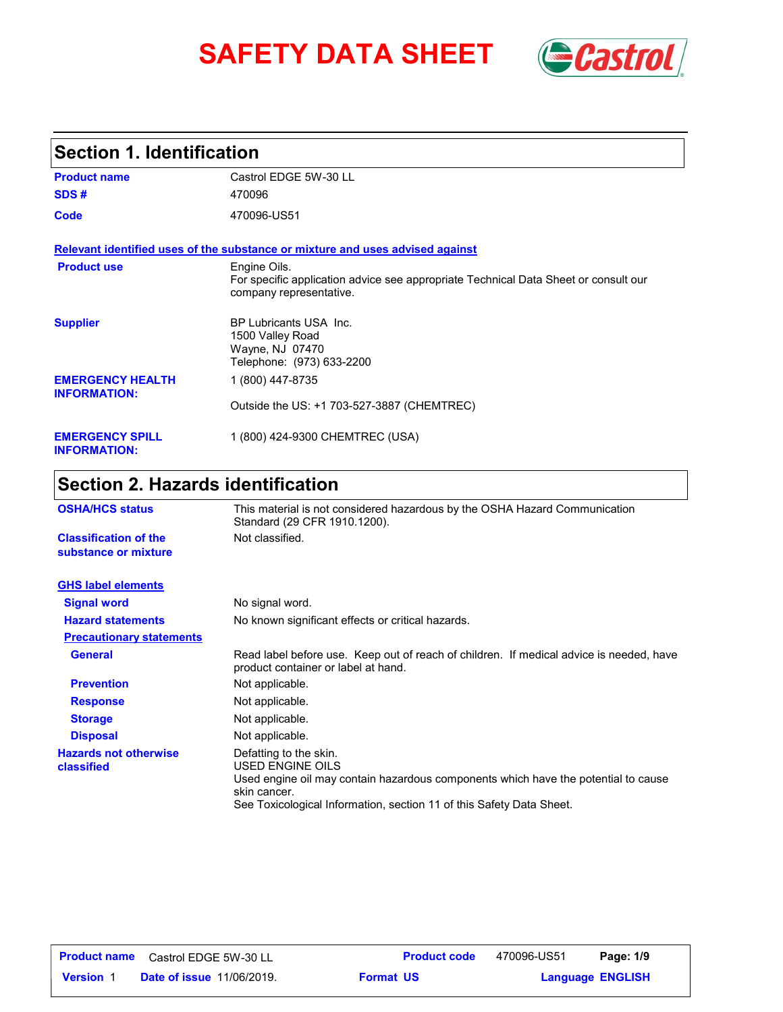# **SAFETY DATA SHEET** *Castrol*



## **Section 1. Identification**

| <b>Product name</b>                            | Castrol EDGE 5W-30 LL                                                                                                          |
|------------------------------------------------|--------------------------------------------------------------------------------------------------------------------------------|
| SDS#                                           | 470096                                                                                                                         |
| Code                                           | 470096-US51                                                                                                                    |
|                                                | Relevant identified uses of the substance or mixture and uses advised against                                                  |
| <b>Product use</b>                             | Engine Oils.<br>For specific application advice see appropriate Technical Data Sheet or consult our<br>company representative. |
| <b>Supplier</b>                                | BP Lubricants USA Inc.<br>1500 Valley Road<br>Wayne, NJ 07470<br>Telephone: (973) 633-2200                                     |
| <b>EMERGENCY HEALTH</b><br><b>INFORMATION:</b> | 1 (800) 447-8735                                                                                                               |
|                                                | Outside the US: +1 703-527-3887 (CHEMTREC)                                                                                     |
| <b>EMERGENCY SPILL</b><br><b>INFORMATION:</b>  | 1 (800) 424-9300 CHEMTREC (USA)                                                                                                |

## **Section 2. Hazards identification**

| <b>OSHA/HCS status</b>                               | This material is not considered hazardous by the OSHA Hazard Communication<br>Standard (29 CFR 1910.1200).                                                                                                               |
|------------------------------------------------------|--------------------------------------------------------------------------------------------------------------------------------------------------------------------------------------------------------------------------|
| <b>Classification of the</b><br>substance or mixture | Not classified.                                                                                                                                                                                                          |
| <b>GHS label elements</b>                            |                                                                                                                                                                                                                          |
| <b>Signal word</b>                                   | No signal word.                                                                                                                                                                                                          |
| <b>Hazard statements</b>                             | No known significant effects or critical hazards.                                                                                                                                                                        |
| <b>Precautionary statements</b>                      |                                                                                                                                                                                                                          |
| <b>General</b>                                       | Read label before use. Keep out of reach of children. If medical advice is needed, have<br>product container or label at hand.                                                                                           |
| <b>Prevention</b>                                    | Not applicable.                                                                                                                                                                                                          |
| <b>Response</b>                                      | Not applicable.                                                                                                                                                                                                          |
| <b>Storage</b>                                       | Not applicable.                                                                                                                                                                                                          |
| <b>Disposal</b>                                      | Not applicable.                                                                                                                                                                                                          |
| <b>Hazards not otherwise</b><br>classified           | Defatting to the skin.<br>USED ENGINE OILS<br>Used engine oil may contain hazardous components which have the potential to cause<br>skin cancer.<br>See Toxicological Information, section 11 of this Safety Data Sheet. |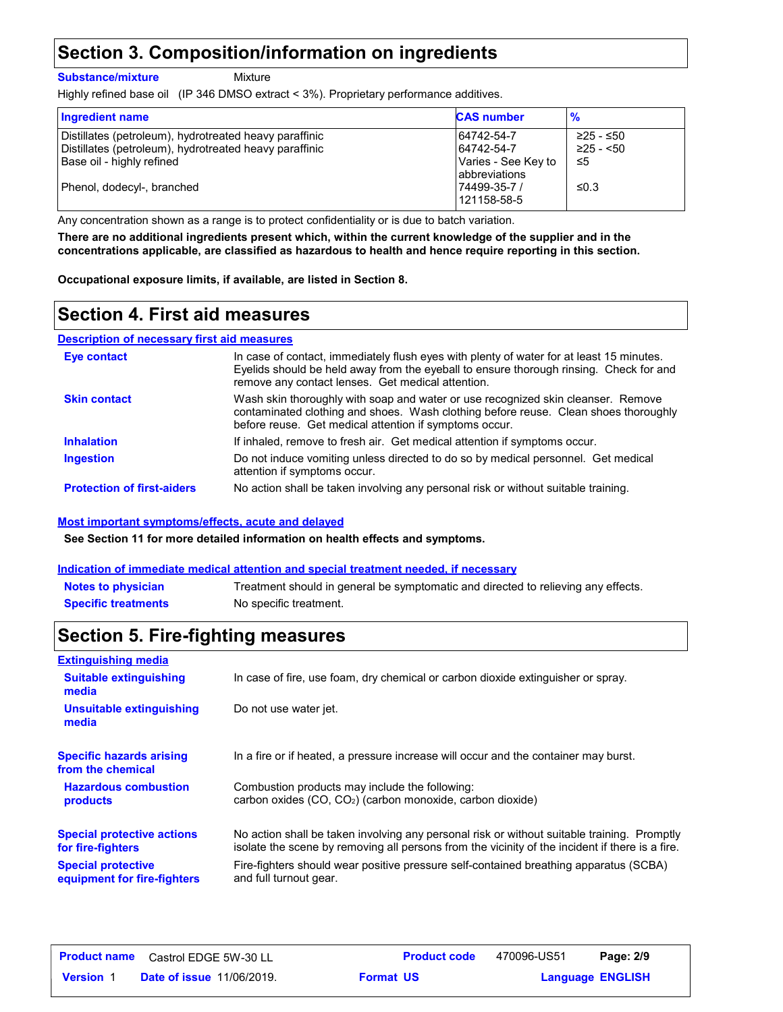## **Section 3. Composition/information on ingredients**

**Substance/mixture**

Mixture

Highly refined base oil (IP 346 DMSO extract < 3%). Proprietary performance additives.

| <b>Ingredient name</b>                                                                                           | <b>CAS number</b>                           | $\frac{9}{6}$                  |
|------------------------------------------------------------------------------------------------------------------|---------------------------------------------|--------------------------------|
| Distillates (petroleum), hydrotreated heavy paraffinic<br>Distillates (petroleum), hydrotreated heavy paraffinic | 64742-54-7<br>64742-54-7                    | $≥25 - ≤50$<br>$\geq$ 25 - <50 |
| Base oil - highly refined                                                                                        | Varies - See Key to<br><b>abbreviations</b> | -≤5                            |
| Phenol, dodecyl-, branched                                                                                       | 74499-35-7 /<br>121158-58-5                 | ≤0.3                           |

Any concentration shown as a range is to protect confidentiality or is due to batch variation.

**There are no additional ingredients present which, within the current knowledge of the supplier and in the concentrations applicable, are classified as hazardous to health and hence require reporting in this section.**

**Occupational exposure limits, if available, are listed in Section 8.**

## **Section 4. First aid measures**

#### **Description of necessary first aid measures**

| Eye contact                       | In case of contact, immediately flush eyes with plenty of water for at least 15 minutes.<br>Evelids should be held away from the eyeball to ensure thorough rinsing. Check for and<br>remove any contact lenses. Get medical attention. |
|-----------------------------------|-----------------------------------------------------------------------------------------------------------------------------------------------------------------------------------------------------------------------------------------|
| <b>Skin contact</b>               | Wash skin thoroughly with soap and water or use recognized skin cleanser. Remove<br>contaminated clothing and shoes. Wash clothing before reuse. Clean shoes thoroughly<br>before reuse. Get medical attention if symptoms occur.       |
| <b>Inhalation</b>                 | If inhaled, remove to fresh air. Get medical attention if symptoms occur.                                                                                                                                                               |
| <b>Ingestion</b>                  | Do not induce vomiting unless directed to do so by medical personnel. Get medical<br>attention if symptoms occur.                                                                                                                       |
| <b>Protection of first-aiders</b> | No action shall be taken involving any personal risk or without suitable training.                                                                                                                                                      |

#### **Most important symptoms/effects, acute and delayed**

**See Section 11 for more detailed information on health effects and symptoms.**

#### **Indication of immediate medical attention and special treatment needed, if necessary**

| <b>Notes to physician</b>  | Treatment should in general be symptomatic and directed to relieving any effects. |
|----------------------------|-----------------------------------------------------------------------------------|
| <b>Specific treatments</b> | No specific treatment.                                                            |

## **Section 5. Fire-fighting measures**

| <b>Extinguishing media</b>                               |                                                                                                                                                                                                |
|----------------------------------------------------------|------------------------------------------------------------------------------------------------------------------------------------------------------------------------------------------------|
| <b>Suitable extinguishing</b><br>media                   | In case of fire, use foam, dry chemical or carbon dioxide extinguisher or spray.                                                                                                               |
| Unsuitable extinguishing<br>media                        | Do not use water jet.                                                                                                                                                                          |
| <b>Specific hazards arising</b><br>from the chemical     | In a fire or if heated, a pressure increase will occur and the container may burst.                                                                                                            |
| <b>Hazardous combustion</b><br>products                  | Combustion products may include the following:<br>carbon oxides $(CO, CO2)$ (carbon monoxide, carbon dioxide)                                                                                  |
| <b>Special protective actions</b><br>for fire-fighters   | No action shall be taken involving any personal risk or without suitable training. Promptly<br>isolate the scene by removing all persons from the vicinity of the incident if there is a fire. |
| <b>Special protective</b><br>equipment for fire-fighters | Fire-fighters should wear positive pressure self-contained breathing apparatus (SCBA)<br>and full turnout gear.                                                                                |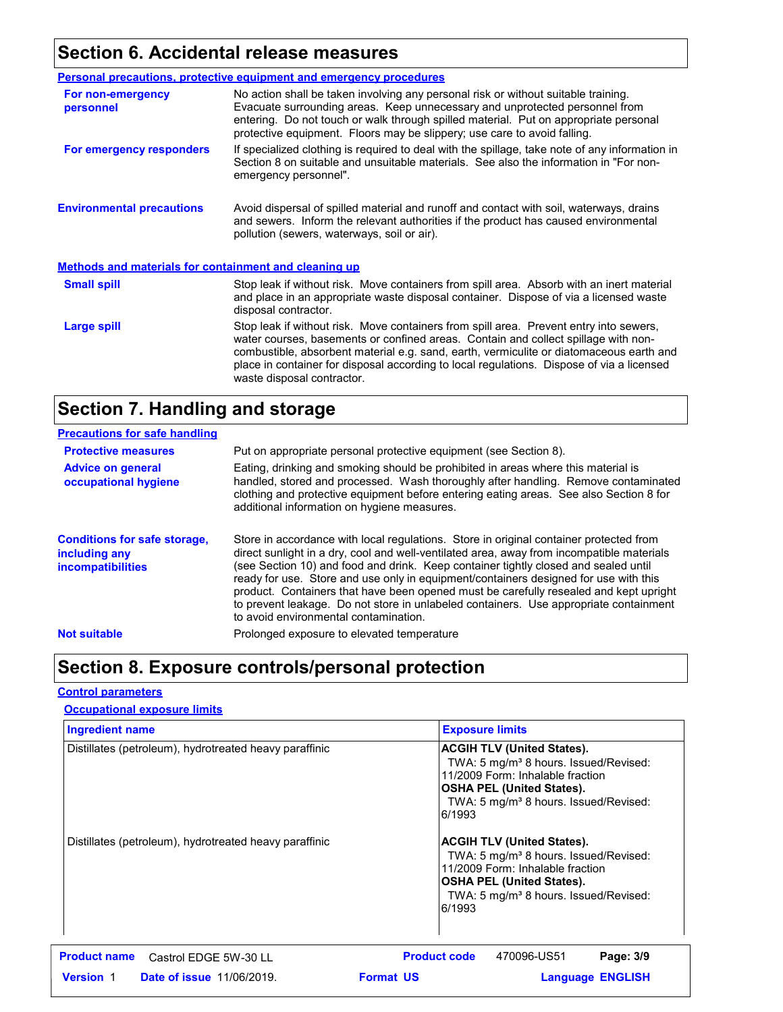## **Section 6. Accidental release measures**

|                                                              | Personal precautions, protective equipment and emergency procedures                                                                                                                                                                                                                                                                                                                                |  |
|--------------------------------------------------------------|----------------------------------------------------------------------------------------------------------------------------------------------------------------------------------------------------------------------------------------------------------------------------------------------------------------------------------------------------------------------------------------------------|--|
| For non-emergency<br>personnel                               | No action shall be taken involving any personal risk or without suitable training.<br>Evacuate surrounding areas. Keep unnecessary and unprotected personnel from<br>entering. Do not touch or walk through spilled material. Put on appropriate personal<br>protective equipment. Floors may be slippery; use care to avoid falling.                                                              |  |
| For emergency responders                                     | If specialized clothing is required to deal with the spillage, take note of any information in<br>Section 8 on suitable and unsuitable materials. See also the information in "For non-<br>emergency personnel".                                                                                                                                                                                   |  |
| <b>Environmental precautions</b>                             | Avoid dispersal of spilled material and runoff and contact with soil, waterways, drains<br>and sewers. Inform the relevant authorities if the product has caused environmental<br>pollution (sewers, waterways, soil or air).                                                                                                                                                                      |  |
| <b>Methods and materials for containment and cleaning up</b> |                                                                                                                                                                                                                                                                                                                                                                                                    |  |
| <b>Small spill</b>                                           | Stop leak if without risk. Move containers from spill area. Absorb with an inert material<br>and place in an appropriate waste disposal container. Dispose of via a licensed waste<br>disposal contractor.                                                                                                                                                                                         |  |
| Large spill                                                  | Stop leak if without risk. Move containers from spill area. Prevent entry into sewers,<br>water courses, basements or confined areas. Contain and collect spillage with non-<br>combustible, absorbent material e.g. sand, earth, vermiculite or diatomaceous earth and<br>place in container for disposal according to local regulations. Dispose of via a licensed<br>waste disposal contractor. |  |

## **Section 7. Handling and storage**

| <b>Precautions for safe handling</b>                                             |                                                                                                                                                                                                                                                                                                                                                                                                                                                                                                                                                                                               |
|----------------------------------------------------------------------------------|-----------------------------------------------------------------------------------------------------------------------------------------------------------------------------------------------------------------------------------------------------------------------------------------------------------------------------------------------------------------------------------------------------------------------------------------------------------------------------------------------------------------------------------------------------------------------------------------------|
| <b>Protective measures</b>                                                       | Put on appropriate personal protective equipment (see Section 8).                                                                                                                                                                                                                                                                                                                                                                                                                                                                                                                             |
| <b>Advice on general</b><br>occupational hygiene                                 | Eating, drinking and smoking should be prohibited in areas where this material is<br>handled, stored and processed. Wash thoroughly after handling. Remove contaminated<br>clothing and protective equipment before entering eating areas. See also Section 8 for<br>additional information on hygiene measures.                                                                                                                                                                                                                                                                              |
| <b>Conditions for safe storage,</b><br>including any<br><b>incompatibilities</b> | Store in accordance with local regulations. Store in original container protected from<br>direct sunlight in a dry, cool and well-ventilated area, away from incompatible materials<br>(see Section 10) and food and drink. Keep container tightly closed and sealed until<br>ready for use. Store and use only in equipment/containers designed for use with this<br>product. Containers that have been opened must be carefully resealed and kept upright<br>to prevent leakage. Do not store in unlabeled containers. Use appropriate containment<br>to avoid environmental contamination. |
| <b>Not suitable</b>                                                              | Prolonged exposure to elevated temperature                                                                                                                                                                                                                                                                                                                                                                                                                                                                                                                                                    |

## **Section 8. Exposure controls/personal protection**

#### **Control parameters**

#### **Occupational exposure limits**

| <b>Ingredient name</b>                                 | <b>Exposure limits</b>                                                                                                                                                                                                        |  |
|--------------------------------------------------------|-------------------------------------------------------------------------------------------------------------------------------------------------------------------------------------------------------------------------------|--|
| Distillates (petroleum), hydrotreated heavy paraffinic | <b>ACGIH TLV (United States).</b><br>TWA: 5 mg/m <sup>3</sup> 8 hours. Issued/Revised:<br>11/2009 Form: Inhalable fraction<br><b>OSHA PEL (United States).</b><br>TWA: 5 mg/m <sup>3</sup> 8 hours. Issued/Revised:<br>6/1993 |  |
| Distillates (petroleum), hydrotreated heavy paraffinic | <b>ACGIH TLV (United States).</b><br>TWA: 5 mg/m <sup>3</sup> 8 hours. Issued/Revised:<br>11/2009 Form: Inhalable fraction<br><b>OSHA PEL (United States).</b><br>TWA: 5 mg/m <sup>3</sup> 8 hours. Issued/Revised:<br>6/1993 |  |
| <b>Product name</b><br>Castrol EDGE 5W-30 LL           | <b>Product code</b><br>470096-US51<br>Page: 3/9                                                                                                                                                                               |  |
| <b>Version 1</b><br><b>Date of issue 11/06/2019.</b>   | <b>Format US</b><br><b>Language ENGLISH</b>                                                                                                                                                                                   |  |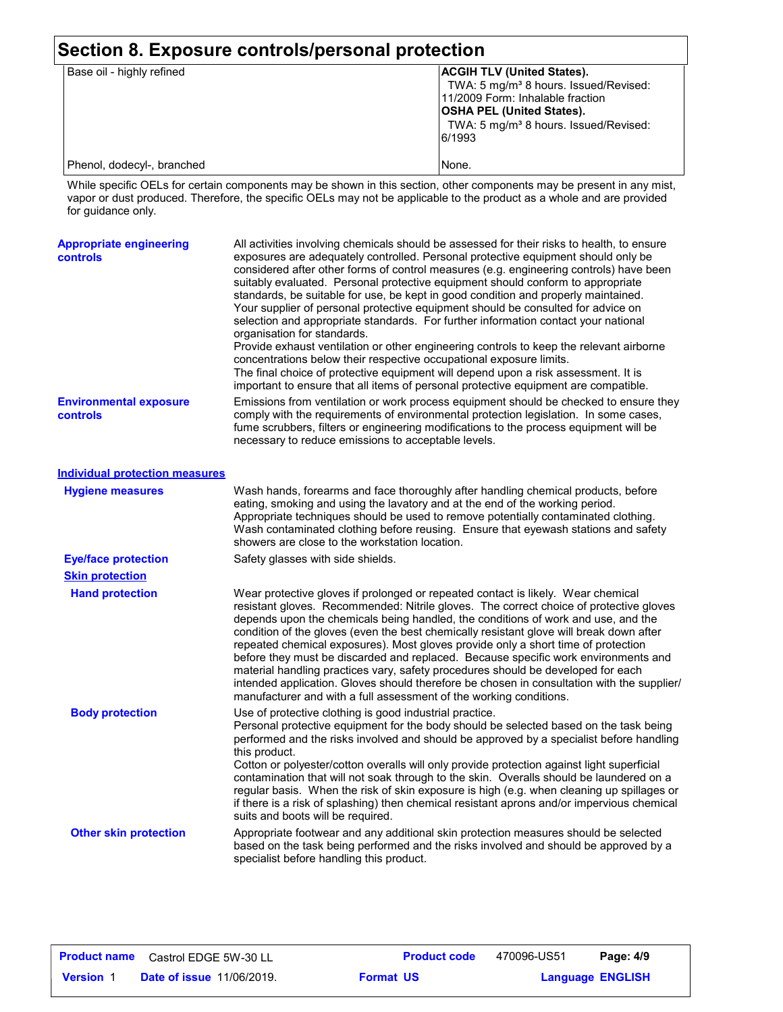| Section 8. Exposure controls/personal protection |                                                                                                                                                                                                                               |  |
|--------------------------------------------------|-------------------------------------------------------------------------------------------------------------------------------------------------------------------------------------------------------------------------------|--|
| Base oil - highly refined                        | <b>ACGIH TLV (United States).</b><br>TWA: 5 mg/m <sup>3</sup> 8 hours. Issued/Revised:<br>11/2009 Form: Inhalable fraction<br><b>OSHA PEL (United States).</b><br>TWA: 5 mg/m <sup>3</sup> 8 hours. Issued/Revised:<br>6/1993 |  |
| Phenol, dodecyl-, branched                       | None.                                                                                                                                                                                                                         |  |

While specific OELs for certain components may be shown in this section, other components may be present in any mist, vapor or dust produced. Therefore, the specific OELs may not be applicable to the product as a whole and are provided for guidance only.

| <b>Appropriate engineering</b><br>controls | All activities involving chemicals should be assessed for their risks to health, to ensure<br>exposures are adequately controlled. Personal protective equipment should only be<br>considered after other forms of control measures (e.g. engineering controls) have been<br>suitably evaluated. Personal protective equipment should conform to appropriate<br>standards, be suitable for use, be kept in good condition and properly maintained.<br>Your supplier of personal protective equipment should be consulted for advice on<br>selection and appropriate standards. For further information contact your national<br>organisation for standards.<br>Provide exhaust ventilation or other engineering controls to keep the relevant airborne<br>concentrations below their respective occupational exposure limits.<br>The final choice of protective equipment will depend upon a risk assessment. It is<br>important to ensure that all items of personal protective equipment are compatible. |
|--------------------------------------------|------------------------------------------------------------------------------------------------------------------------------------------------------------------------------------------------------------------------------------------------------------------------------------------------------------------------------------------------------------------------------------------------------------------------------------------------------------------------------------------------------------------------------------------------------------------------------------------------------------------------------------------------------------------------------------------------------------------------------------------------------------------------------------------------------------------------------------------------------------------------------------------------------------------------------------------------------------------------------------------------------------|
| <b>Environmental exposure</b><br>controls  | Emissions from ventilation or work process equipment should be checked to ensure they<br>comply with the requirements of environmental protection legislation. In some cases,<br>fume scrubbers, filters or engineering modifications to the process equipment will be<br>necessary to reduce emissions to acceptable levels.                                                                                                                                                                                                                                                                                                                                                                                                                                                                                                                                                                                                                                                                              |
| <b>Individual protection measures</b>      |                                                                                                                                                                                                                                                                                                                                                                                                                                                                                                                                                                                                                                                                                                                                                                                                                                                                                                                                                                                                            |
| <b>Hygiene measures</b>                    | Wash hands, forearms and face thoroughly after handling chemical products, before<br>eating, smoking and using the lavatory and at the end of the working period.<br>Appropriate techniques should be used to remove potentially contaminated clothing.<br>Wash contaminated clothing before reusing. Ensure that eyewash stations and safety<br>showers are close to the workstation location.                                                                                                                                                                                                                                                                                                                                                                                                                                                                                                                                                                                                            |
| <b>Eye/face protection</b>                 | Safety glasses with side shields.                                                                                                                                                                                                                                                                                                                                                                                                                                                                                                                                                                                                                                                                                                                                                                                                                                                                                                                                                                          |
| <b>Skin protection</b>                     |                                                                                                                                                                                                                                                                                                                                                                                                                                                                                                                                                                                                                                                                                                                                                                                                                                                                                                                                                                                                            |
| <b>Hand protection</b>                     | Wear protective gloves if prolonged or repeated contact is likely. Wear chemical<br>resistant gloves. Recommended: Nitrile gloves. The correct choice of protective gloves<br>depends upon the chemicals being handled, the conditions of work and use, and the<br>condition of the gloves (even the best chemically resistant glove will break down after<br>repeated chemical exposures). Most gloves provide only a short time of protection<br>before they must be discarded and replaced. Because specific work environments and<br>material handling practices vary, safety procedures should be developed for each<br>intended application. Gloves should therefore be chosen in consultation with the supplier/<br>manufacturer and with a full assessment of the working conditions.                                                                                                                                                                                                              |
| <b>Body protection</b>                     | Use of protective clothing is good industrial practice.<br>Personal protective equipment for the body should be selected based on the task being<br>performed and the risks involved and should be approved by a specialist before handling<br>this product.<br>Cotton or polyester/cotton overalls will only provide protection against light superficial<br>contamination that will not soak through to the skin. Overalls should be laundered on a<br>regular basis. When the risk of skin exposure is high (e.g. when cleaning up spillages or<br>if there is a risk of splashing) then chemical resistant aprons and/or impervious chemical<br>suits and boots will be required.                                                                                                                                                                                                                                                                                                                      |
| <b>Other skin protection</b>               | Appropriate footwear and any additional skin protection measures should be selected<br>based on the task being performed and the risks involved and should be approved by a<br>specialist before handling this product.                                                                                                                                                                                                                                                                                                                                                                                                                                                                                                                                                                                                                                                                                                                                                                                    |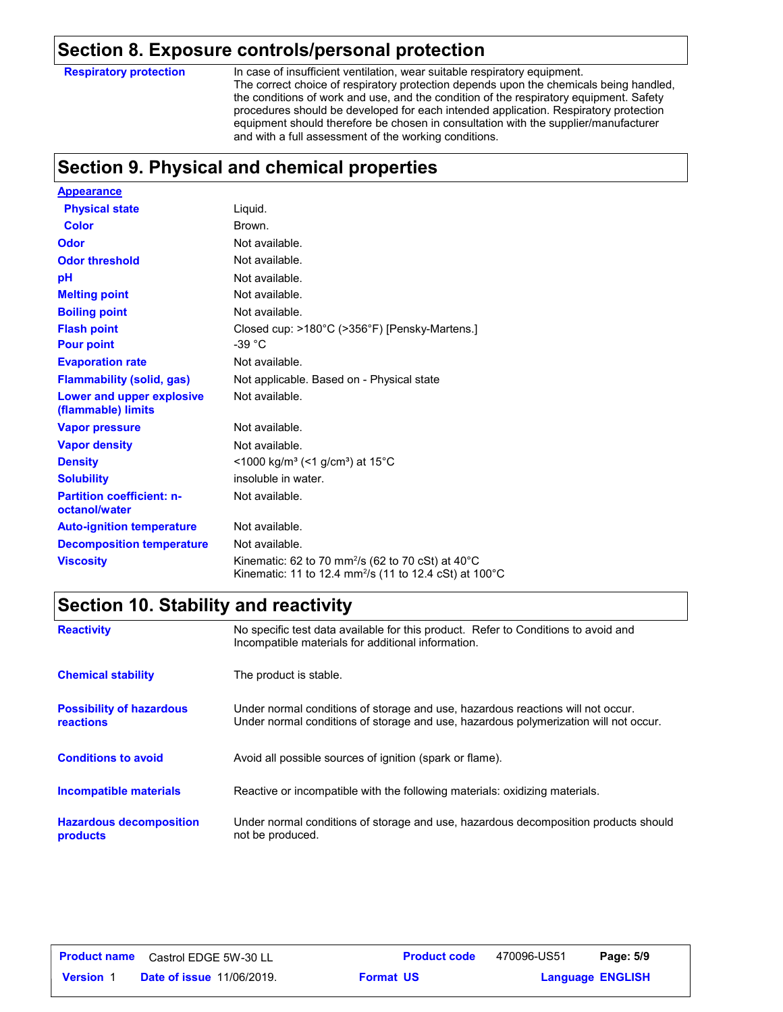## **Section 8. Exposure controls/personal protection**

**Respiratory protection**

In case of insufficient ventilation, wear suitable respiratory equipment. The correct choice of respiratory protection depends upon the chemicals being handled, the conditions of work and use, and the condition of the respiratory equipment. Safety procedures should be developed for each intended application. Respiratory protection equipment should therefore be chosen in consultation with the supplier/manufacturer and with a full assessment of the working conditions.

## **Section 9. Physical and chemical properties**

| <b>Appearance</b>                                 |                                                                                                                                                             |
|---------------------------------------------------|-------------------------------------------------------------------------------------------------------------------------------------------------------------|
| <b>Physical state</b>                             | Liquid.                                                                                                                                                     |
| <b>Color</b>                                      | Brown.                                                                                                                                                      |
| Odor                                              | Not available.                                                                                                                                              |
| <b>Odor threshold</b>                             | Not available.                                                                                                                                              |
| рH                                                | Not available.                                                                                                                                              |
| <b>Melting point</b>                              | Not available.                                                                                                                                              |
| <b>Boiling point</b>                              | Not available.                                                                                                                                              |
| <b>Flash point</b>                                | Closed cup: >180°C (>356°F) [Pensky-Martens.]                                                                                                               |
| <b>Pour point</b>                                 | -39 $^{\circ}$ C                                                                                                                                            |
| <b>Evaporation rate</b>                           | Not available.                                                                                                                                              |
| <b>Flammability (solid, gas)</b>                  | Not applicable. Based on - Physical state                                                                                                                   |
| Lower and upper explosive<br>(flammable) limits   | Not available.                                                                                                                                              |
| <b>Vapor pressure</b>                             | Not available.                                                                                                                                              |
| <b>Vapor density</b>                              | Not available.                                                                                                                                              |
| <b>Density</b>                                    | <1000 kg/m <sup>3</sup> (<1 g/cm <sup>3</sup> ) at 15 <sup>°</sup> C                                                                                        |
| <b>Solubility</b>                                 | insoluble in water.                                                                                                                                         |
| <b>Partition coefficient: n-</b><br>octanol/water | Not available.                                                                                                                                              |
| <b>Auto-ignition temperature</b>                  | Not available.                                                                                                                                              |
| <b>Decomposition temperature</b>                  | Not available.                                                                                                                                              |
| <b>Viscosity</b>                                  | Kinematic: 62 to 70 mm <sup>2</sup> /s (62 to 70 cSt) at 40 <sup>°</sup> C<br>Kinematic: 11 to 12.4 mm <sup>2</sup> /s (11 to 12.4 cSt) at 100 $^{\circ}$ C |

## **Section 10. Stability and reactivity**

| <b>Reactivity</b>                                   | No specific test data available for this product. Refer to Conditions to avoid and<br>Incompatible materials for additional information.                                |
|-----------------------------------------------------|-------------------------------------------------------------------------------------------------------------------------------------------------------------------------|
| <b>Chemical stability</b>                           | The product is stable.                                                                                                                                                  |
| <b>Possibility of hazardous</b><br><b>reactions</b> | Under normal conditions of storage and use, hazardous reactions will not occur.<br>Under normal conditions of storage and use, hazardous polymerization will not occur. |
| <b>Conditions to avoid</b>                          | Avoid all possible sources of ignition (spark or flame).                                                                                                                |
| <b>Incompatible materials</b>                       | Reactive or incompatible with the following materials: oxidizing materials.                                                                                             |
| <b>Hazardous decomposition</b><br>products          | Under normal conditions of storage and use, hazardous decomposition products should<br>not be produced.                                                                 |

|                  | <b>Product name</b> Castrol EDGE 5W-30 LL |                  | <b>Product code</b> | 470096-US51 | Page: 5/9               |  |
|------------------|-------------------------------------------|------------------|---------------------|-------------|-------------------------|--|
| <b>Version 1</b> | <b>Date of issue 11/06/2019.</b>          | <b>Format US</b> |                     |             | <b>Language ENGLISH</b> |  |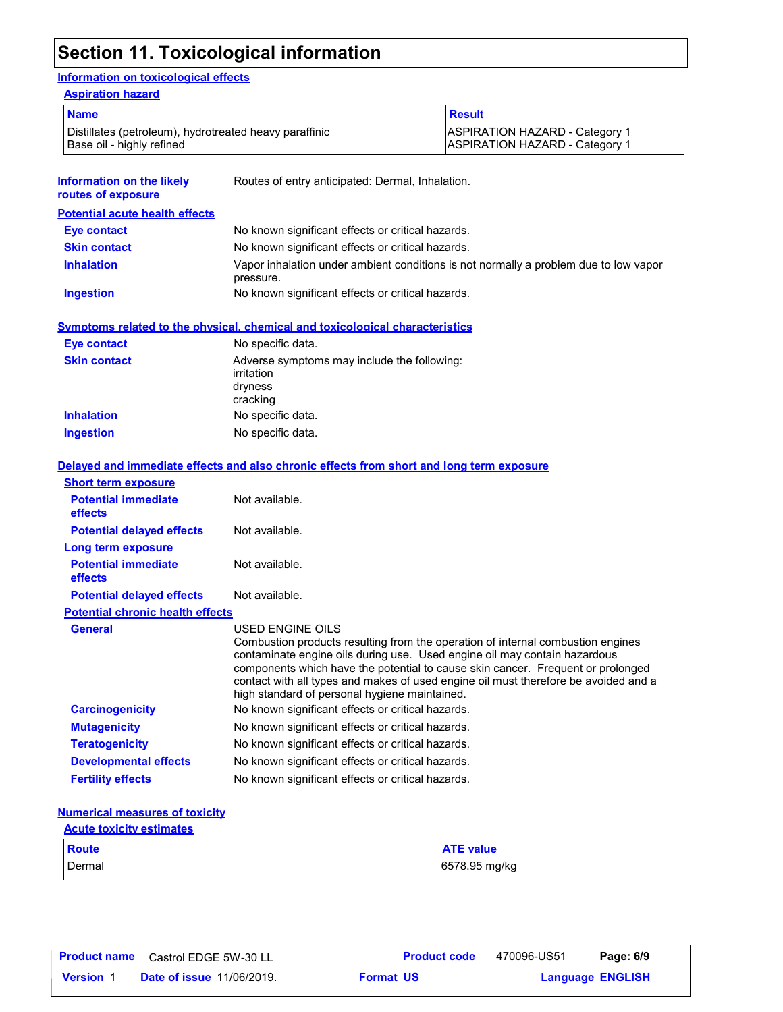## **Section 11. Toxicological information**

### **Information on toxicological effects**

| <b>Aspiration hazard</b>                                                            |                                                  |                                                                                |
|-------------------------------------------------------------------------------------|--------------------------------------------------|--------------------------------------------------------------------------------|
| <b>Name</b>                                                                         |                                                  | <b>Result</b>                                                                  |
| Distillates (petroleum), hydrotreated heavy paraffinic<br>Base oil - highly refined |                                                  | <b>ASPIRATION HAZARD - Category 1</b><br><b>ASPIRATION HAZARD - Category 1</b> |
| <b>Information on the likely</b><br>routes of exposure                              | Routes of entry anticipated: Dermal, Inhalation. |                                                                                |

| <b>Potential acute health effects</b> |                                                                                                   |
|---------------------------------------|---------------------------------------------------------------------------------------------------|
| Eye contact                           | No known significant effects or critical hazards.                                                 |
| <b>Skin contact</b>                   | No known significant effects or critical hazards.                                                 |
| <b>Inhalation</b>                     | Vapor inhalation under ambient conditions is not normally a problem due to low vapor<br>pressure. |
| <b>Ingestion</b>                      | No known significant effects or critical hazards.                                                 |

**Symptoms related to the physical, chemical and toxicological characteristics**

| <b>Eye contact</b>  | No specific data.                                                                |
|---------------------|----------------------------------------------------------------------------------|
| <b>Skin contact</b> | Adverse symptoms may include the following:<br>irritation<br>dryness<br>cracking |
| <b>Inhalation</b>   | No specific data.                                                                |
| <b>Ingestion</b>    | No specific data.                                                                |

|                                         | Delayed and immediate effects and also chronic effects from short and long term exposure                                                                                                                                                                                                                                                                                                                    |
|-----------------------------------------|-------------------------------------------------------------------------------------------------------------------------------------------------------------------------------------------------------------------------------------------------------------------------------------------------------------------------------------------------------------------------------------------------------------|
| <b>Short term exposure</b>              |                                                                                                                                                                                                                                                                                                                                                                                                             |
| <b>Potential immediate</b><br>effects   | Not available.                                                                                                                                                                                                                                                                                                                                                                                              |
| <b>Potential delayed effects</b>        | Not available.                                                                                                                                                                                                                                                                                                                                                                                              |
| <b>Long term exposure</b>               |                                                                                                                                                                                                                                                                                                                                                                                                             |
| <b>Potential immediate</b><br>effects   | Not available.                                                                                                                                                                                                                                                                                                                                                                                              |
| <b>Potential delayed effects</b>        | Not available.                                                                                                                                                                                                                                                                                                                                                                                              |
| <b>Potential chronic health effects</b> |                                                                                                                                                                                                                                                                                                                                                                                                             |
| <b>General</b>                          | USED ENGINE OILS<br>Combustion products resulting from the operation of internal combustion engines<br>contaminate engine oils during use. Used engine oil may contain hazardous<br>components which have the potential to cause skin cancer. Frequent or prolonged<br>contact with all types and makes of used engine oil must therefore be avoided and a<br>high standard of personal hygiene maintained. |
| <b>Carcinogenicity</b>                  | No known significant effects or critical hazards.                                                                                                                                                                                                                                                                                                                                                           |
| <b>Mutagenicity</b>                     | No known significant effects or critical hazards.                                                                                                                                                                                                                                                                                                                                                           |
| <b>Teratogenicity</b>                   | No known significant effects or critical hazards.                                                                                                                                                                                                                                                                                                                                                           |
| <b>Developmental effects</b>            | No known significant effects or critical hazards.                                                                                                                                                                                                                                                                                                                                                           |
| <b>Fertility effects</b>                | No known significant effects or critical hazards.                                                                                                                                                                                                                                                                                                                                                           |

#### **Numerical measures of toxicity**

| <b>Acute toxicity estimates</b> |                  |
|---------------------------------|------------------|
| Route                           | <b>ATE</b> value |
| Dermal                          | 6578.95 mg/kg    |

|                  | <b>Product name</b> Castrol EDGE 5W-30 LL |                  | <b>Product code</b> | 470096-US51 | Page: 6/9               |  |
|------------------|-------------------------------------------|------------------|---------------------|-------------|-------------------------|--|
| <b>Version</b> 1 | <b>Date of issue 11/06/2019.</b>          | <b>Format US</b> |                     |             | <b>Language ENGLISH</b> |  |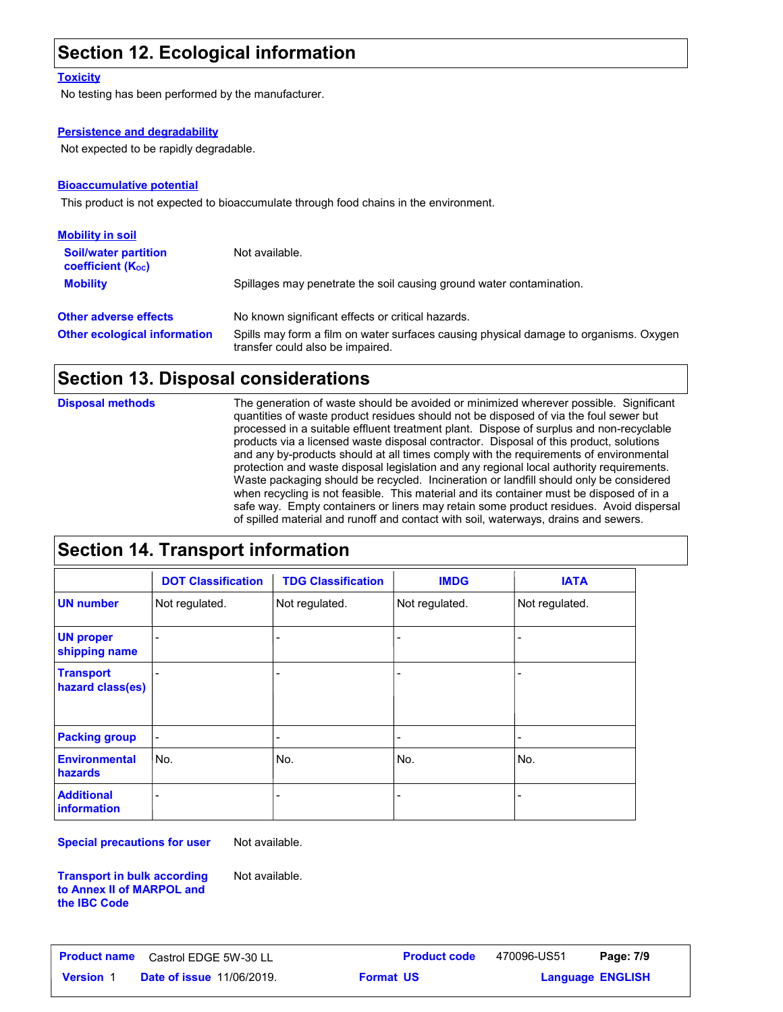## **Section 12. Ecological information**

#### **Toxicity**

No testing has been performed by the manufacturer.

#### **Persistence and degradability**

Not expected to be rapidly degradable.

#### **Bioaccumulative potential**

This product is not expected to bioaccumulate through food chains in the environment.

| <b>Mobility in soil</b>                                 |                                                                                                                           |
|---------------------------------------------------------|---------------------------------------------------------------------------------------------------------------------------|
| <b>Soil/water partition</b><br><b>coefficient (Koc)</b> | Not available.                                                                                                            |
| <b>Mobility</b>                                         | Spillages may penetrate the soil causing ground water contamination.                                                      |
| <b>Other adverse effects</b>                            | No known significant effects or critical hazards.                                                                         |
| <b>Other ecological information</b>                     | Spills may form a film on water surfaces causing physical damage to organisms. Oxygen<br>transfer could also be impaired. |

## **Section 13. Disposal considerations**

The generation of waste should be avoided or minimized wherever possible. Significant quantities of waste product residues should not be disposed of via the foul sewer but processed in a suitable effluent treatment plant. Dispose of surplus and non-recyclable products via a licensed waste disposal contractor. Disposal of this product, solutions and any by-products should at all times comply with the requirements of environmental protection and waste disposal legislation and any regional local authority requirements. Waste packaging should be recycled. Incineration or landfill should only be considered when recycling is not feasible. This material and its container must be disposed of in a safe way. Empty containers or liners may retain some product residues. Avoid dispersal of spilled material and runoff and contact with soil, waterways, drains and sewers. **Disposal methods**

## **Section 14. Transport information**

|                                         | <b>DOT Classification</b> | <b>TDG Classification</b> | <b>IMDG</b>                  | <b>IATA</b>    |
|-----------------------------------------|---------------------------|---------------------------|------------------------------|----------------|
| <b>UN number</b>                        | Not regulated.            | Not regulated.            | Not regulated.               | Not regulated. |
| <b>UN proper</b><br>shipping name       |                           | $\blacksquare$            | -                            |                |
| <b>Transport</b><br>hazard class(es)    |                           | $\overline{\phantom{0}}$  | -                            |                |
| <b>Packing group</b>                    | -                         | $\overline{\phantom{a}}$  | $\qquad \qquad \blacksquare$ | ٠              |
| <b>Environmental</b><br>hazards         | No.                       | No.                       | No.                          | No.            |
| <b>Additional</b><br><b>information</b> |                           | $\overline{\phantom{0}}$  | -                            |                |

**Special precautions for user**

Not available.

Not available.

**Transport in bulk according to Annex II of MARPOL and the IBC Code**

**Date of issue** 11/06/2019. **Format US All All Anguage ENGLIS Product name** Castrol EDGE 5W-30 LL **Product code** 470096-US51 **Page: 7/9**

470096-US51 Page: 7/9

**Format US**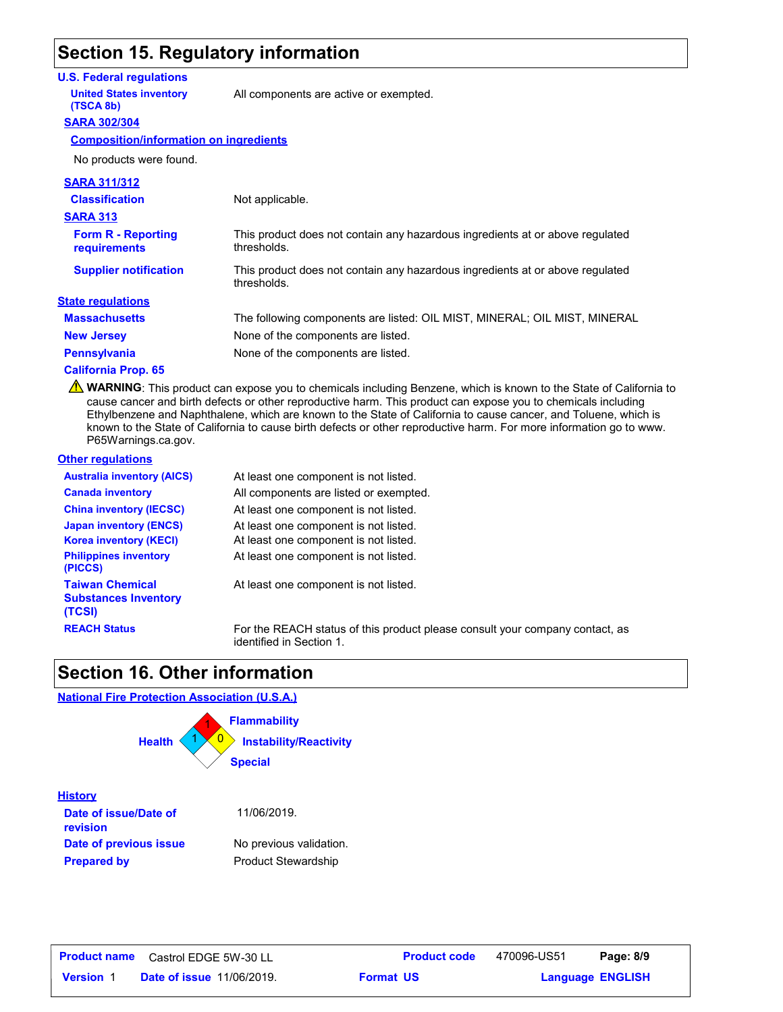## **Section 15. Regulatory information**

#### **U.S. Federal regulations**

**United States inventory** All components are active or exempted.

#### **SARA 302/304 (TSCA 8b)**

**Composition/information on ingredients**

No products were found.

| <b>SARA 311/312</b>                       |                                                                                              |
|-------------------------------------------|----------------------------------------------------------------------------------------------|
| <b>Classification</b>                     | Not applicable.                                                                              |
| <b>SARA 313</b>                           |                                                                                              |
| <b>Form R - Reporting</b><br>requirements | This product does not contain any hazardous ingredients at or above regulated<br>thresholds. |
| <b>Supplier notification</b>              | This product does not contain any hazardous ingredients at or above regulated<br>thresholds. |
| <b>State regulations</b>                  |                                                                                              |
| <b>Massachusetts</b>                      | The following components are listed: OIL MIST, MINERAL; OIL MIST, MINERAL                    |
| <b>New Jersey</b>                         | None of the components are listed.                                                           |
| <b>Pennsylvania</b>                       | None of the components are listed.                                                           |
|                                           |                                                                                              |

#### **California Prop. 65**

**A** WARNING: This product can expose you to chemicals including Benzene, which is known to the State of California to cause cancer and birth defects or other reproductive harm. This product can expose you to chemicals including Ethylbenzene and Naphthalene, which are known to the State of California to cause cancer, and Toluene, which is known to the State of California to cause birth defects or other reproductive harm. For more information go to www. P65Warnings.ca.gov.

#### **Other regulations**

**History**

| <b>Australia inventory (AICS)</b>                               | At least one component is not listed.                                                                    |
|-----------------------------------------------------------------|----------------------------------------------------------------------------------------------------------|
| <b>Canada inventory</b>                                         | All components are listed or exempted.                                                                   |
| <b>China inventory (IECSC)</b>                                  | At least one component is not listed.                                                                    |
| <b>Japan inventory (ENCS)</b>                                   | At least one component is not listed.                                                                    |
| <b>Korea inventory (KECI)</b>                                   | At least one component is not listed.                                                                    |
| <b>Philippines inventory</b><br>(PICCS)                         | At least one component is not listed.                                                                    |
| <b>Taiwan Chemical</b><br><b>Substances Inventory</b><br>(TCSI) | At least one component is not listed.                                                                    |
| <b>REACH Status</b>                                             | For the REACH status of this product please consult your company contact, as<br>identified in Section 1. |

## **Section 16. Other information**

#### **National Fire Protection Association (U.S.A.)**



|                  | <b>Product name</b> Castrol EDGE 5W-30 LL |                  | <b>Product code</b> | 470096-US51 | Page: 8/9               |  |
|------------------|-------------------------------------------|------------------|---------------------|-------------|-------------------------|--|
| <b>Version</b> 1 | <b>Date of issue 11/06/2019.</b>          | <b>Format US</b> |                     |             | <b>Language ENGLISH</b> |  |